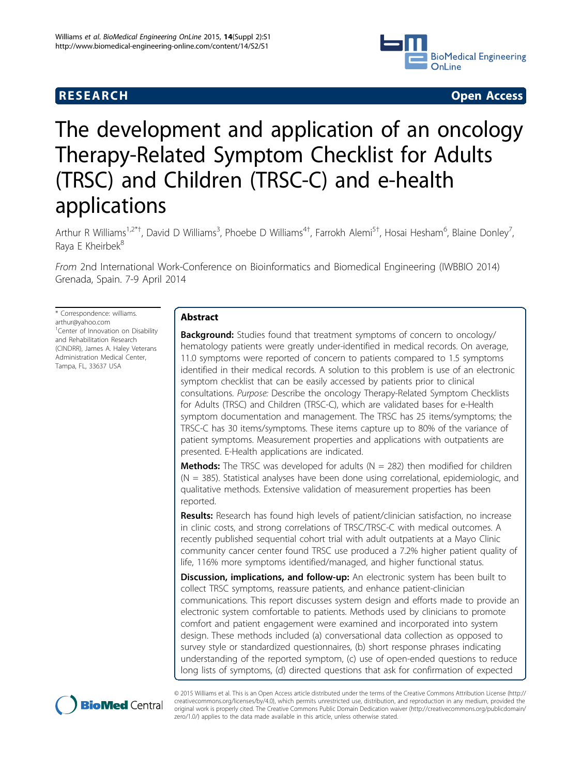## **RESEARCH CONSTRUCTION CONSTRUCTS**



# The development and application of an oncology Therapy-Related Symptom Checklist for Adults (TRSC) and Children (TRSC-C) and e-health applications

Arthur R Williams<sup>1,2\*†</sup>, David D Williams<sup>3</sup>, Phoebe D Williams<sup>4†</sup>, Farrokh Alemi<sup>5†</sup>, Hosai Hesham<sup>6</sup>, Blaine Donley<sup>7</sup> , Raya E Kheirbek<sup>8</sup>

From 2nd International Work-Conference on Bioinformatics and Biomedical Engineering (IWBBIO 2014) Grenada, Spain. 7-9 April 2014

\* Correspondence: [williams.](mailto:williams.arthur@yahoo.com) [arthur@yahoo.com](mailto:williams.arthur@yahoo.com) <sup>1</sup>Center of Innovation on Disability and Rehabilitation Research (CINDRR), James A. Haley Veterans Administration Medical Center, Tampa, FL, 33637 USA

## **Abstract**

Background: Studies found that treatment symptoms of concern to oncology/ hematology patients were greatly under-identified in medical records. On average, 11.0 symptoms were reported of concern to patients compared to 1.5 symptoms identified in their medical records. A solution to this problem is use of an electronic symptom checklist that can be easily accessed by patients prior to clinical consultations. Purpose: Describe the oncology Therapy-Related Symptom Checklists for Adults (TRSC) and Children (TRSC-C), which are validated bases for e-Health symptom documentation and management. The TRSC has 25 items/symptoms; the TRSC-C has 30 items/symptoms. These items capture up to 80% of the variance of patient symptoms. Measurement properties and applications with outpatients are presented. E-Health applications are indicated.

**Methods:** The TRSC was developed for adults ( $N = 282$ ) then modified for children  $(N = 385)$ . Statistical analyses have been done using correlational, epidemiologic, and qualitative methods. Extensive validation of measurement properties has been reported.

Results: Research has found high levels of patient/clinician satisfaction, no increase in clinic costs, and strong correlations of TRSC/TRSC-C with medical outcomes. A recently published sequential cohort trial with adult outpatients at a Mayo Clinic community cancer center found TRSC use produced a 7.2% higher patient quality of life, 116% more symptoms identified/managed, and higher functional status.

Discussion, implications, and follow-up: An electronic system has been built to collect TRSC symptoms, reassure patients, and enhance patient-clinician communications. This report discusses system design and efforts made to provide an electronic system comfortable to patients. Methods used by clinicians to promote comfort and patient engagement were examined and incorporated into system design. These methods included (a) conversational data collection as opposed to survey style or standardized questionnaires, (b) short response phrases indicating understanding of the reported symptom, (c) use of open-ended questions to reduce long lists of symptoms, (d) directed questions that ask for confirmation of expected



© 2015 Williams et al. This is an Open Access article distributed under the terms of the Creative Commons Attribution License [\(http://](http://creativecommons.org/licenses/by/4.0) [creativecommons.org/licenses/by/4.0](http://creativecommons.org/licenses/by/4.0)), which permits unrestricted use, distribution, and reproduction in any medium, provided the original work is properly cited. The Creative Commons Public Domain Dedication waiver ([http://creativecommons.org/publicdomain/](http://creativecommons.org/publicdomain/zero/1.0/) [zero/1.0/](http://creativecommons.org/publicdomain/zero/1.0/)) applies to the data made available in this article, unless otherwise stated.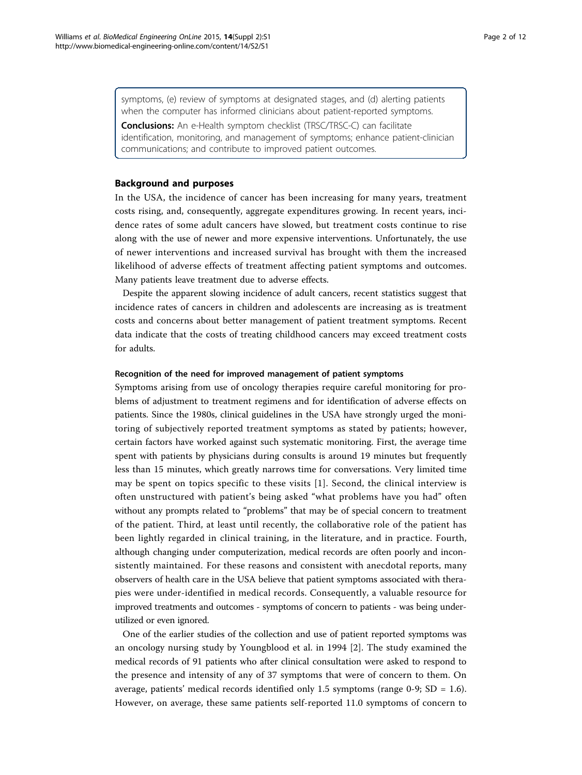symptoms, (e) review of symptoms at designated stages, and (d) alerting patients when the computer has informed clinicians about patient-reported symptoms.

Conclusions: An e-Health symptom checklist (TRSC/TRSC-C) can facilitate identification, monitoring, and management of symptoms; enhance patient-clinician communications; and contribute to improved patient outcomes.

## Background and purposes

In the USA, the incidence of cancer has been increasing for many years, treatment costs rising, and, consequently, aggregate expenditures growing. In recent years, incidence rates of some adult cancers have slowed, but treatment costs continue to rise along with the use of newer and more expensive interventions. Unfortunately, the use of newer interventions and increased survival has brought with them the increased likelihood of adverse effects of treatment affecting patient symptoms and outcomes. Many patients leave treatment due to adverse effects.

Despite the apparent slowing incidence of adult cancers, recent statistics suggest that incidence rates of cancers in children and adolescents are increasing as is treatment costs and concerns about better management of patient treatment symptoms. Recent data indicate that the costs of treating childhood cancers may exceed treatment costs for adults.

## Recognition of the need for improved management of patient symptoms

Symptoms arising from use of oncology therapies require careful monitoring for problems of adjustment to treatment regimens and for identification of adverse effects on patients. Since the 1980s, clinical guidelines in the USA have strongly urged the monitoring of subjectively reported treatment symptoms as stated by patients; however, certain factors have worked against such systematic monitoring. First, the average time spent with patients by physicians during consults is around 19 minutes but frequently less than 15 minutes, which greatly narrows time for conversations. Very limited time may be spent on topics specific to these visits [[1](#page-10-0)]. Second, the clinical interview is often unstructured with patient's being asked "what problems have you had" often without any prompts related to "problems" that may be of special concern to treatment of the patient. Third, at least until recently, the collaborative role of the patient has been lightly regarded in clinical training, in the literature, and in practice. Fourth, although changing under computerization, medical records are often poorly and inconsistently maintained. For these reasons and consistent with anecdotal reports, many observers of health care in the USA believe that patient symptoms associated with therapies were under-identified in medical records. Consequently, a valuable resource for improved treatments and outcomes - symptoms of concern to patients - was being underutilized or even ignored.

One of the earlier studies of the collection and use of patient reported symptoms was an oncology nursing study by Youngblood et al. in 1994 [[2\]](#page-10-0). The study examined the medical records of 91 patients who after clinical consultation were asked to respond to the presence and intensity of any of 37 symptoms that were of concern to them. On average, patients' medical records identified only 1.5 symptoms (range 0-9;  $SD = 1.6$ ). However, on average, these same patients self-reported 11.0 symptoms of concern to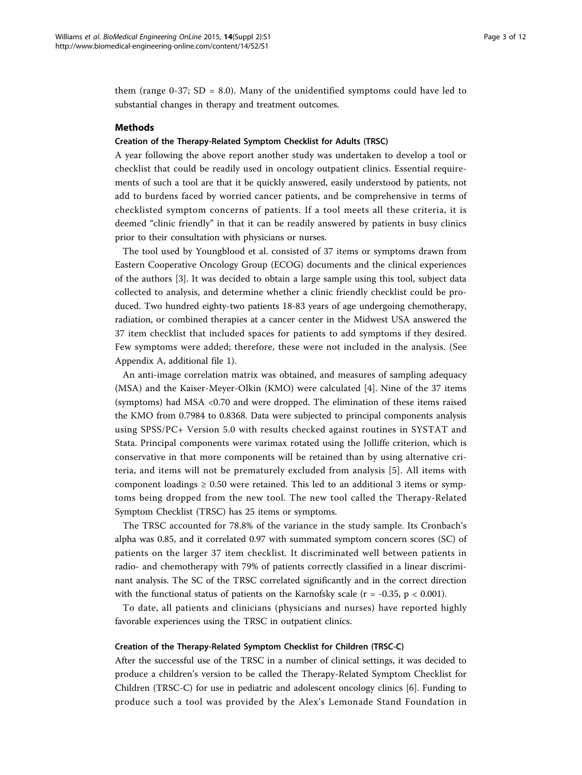them (range 0-37;  $SD = 8.0$ ). Many of the unidentified symptoms could have led to substantial changes in therapy and treatment outcomes.

## Methods

#### Creation of the Therapy-Related Symptom Checklist for Adults (TRSC)

A year following the above report another study was undertaken to develop a tool or checklist that could be readily used in oncology outpatient clinics. Essential requirements of such a tool are that it be quickly answered, easily understood by patients, not add to burdens faced by worried cancer patients, and be comprehensive in terms of checklisted symptom concerns of patients. If a tool meets all these criteria, it is deemed "clinic friendly" in that it can be readily answered by patients in busy clinics prior to their consultation with physicians or nurses.

The tool used by Youngblood et al. consisted of 37 items or symptoms drawn from Eastern Cooperative Oncology Group (ECOG) documents and the clinical experiences of the authors [[3\]](#page-10-0). It was decided to obtain a large sample using this tool, subject data collected to analysis, and determine whether a clinic friendly checklist could be produced. Two hundred eighty-two patients 18-83 years of age undergoing chemotherapy, radiation, or combined therapies at a cancer center in the Midwest USA answered the 37 item checklist that included spaces for patients to add symptoms if they desired. Few symptoms were added; therefore, these were not included in the analysis. (See Appendix A, additional file 1).

An anti-image correlation matrix was obtained, and measures of sampling adequacy (MSA) and the Kaiser-Meyer-Olkin (KMO) were calculated [[4\]](#page-10-0). Nine of the 37 items (symptoms) had MSA <0.70 and were dropped. The elimination of these items raised the KMO from 0.7984 to 0.8368. Data were subjected to principal components analysis using SPSS/PC+ Version 5.0 with results checked against routines in SYSTAT and Stata. Principal components were varimax rotated using the Jolliffe criterion, which is conservative in that more components will be retained than by using alternative criteria, and items will not be prematurely excluded from analysis [\[5\]](#page-10-0). All items with component loadings  $\geq 0.50$  were retained. This led to an additional 3 items or symptoms being dropped from the new tool. The new tool called the Therapy-Related Symptom Checklist (TRSC) has 25 items or symptoms.

The TRSC accounted for 78.8% of the variance in the study sample. Its Cronbach's alpha was 0.85, and it correlated 0.97 with summated symptom concern scores (SC) of patients on the larger 37 item checklist. It discriminated well between patients in radio- and chemotherapy with 79% of patients correctly classified in a linear discriminant analysis. The SC of the TRSC correlated significantly and in the correct direction with the functional status of patients on the Karnofsky scale ( $r = -0.35$ ,  $p < 0.001$ ).

To date, all patients and clinicians (physicians and nurses) have reported highly favorable experiences using the TRSC in outpatient clinics.

#### Creation of the Therapy-Related Symptom Checklist for Children (TRSC-C)

After the successful use of the TRSC in a number of clinical settings, it was decided to produce a children's version to be called the Therapy-Related Symptom Checklist for Children (TRSC-C) for use in pediatric and adolescent oncology clinics [[6\]](#page-10-0). Funding to produce such a tool was provided by the Alex's Lemonade Stand Foundation in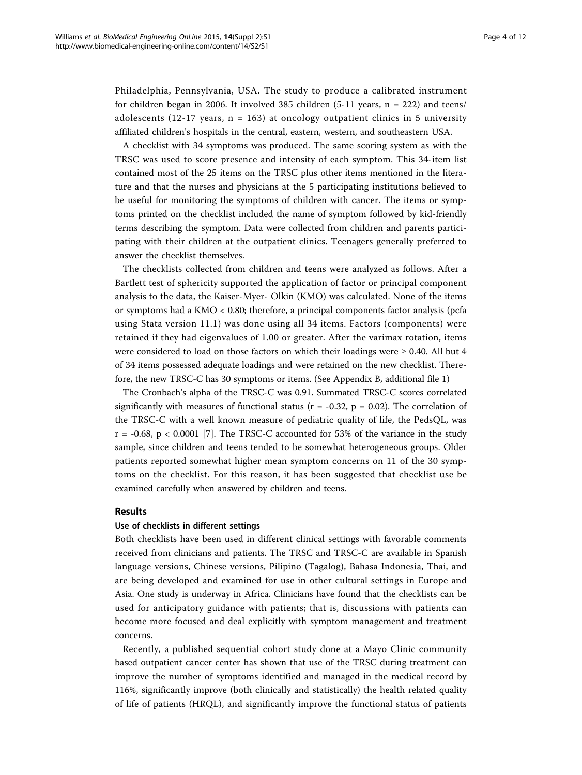Philadelphia, Pennsylvania, USA. The study to produce a calibrated instrument for children began in 2006. It involved 385 children  $(5-11)$  years,  $n = 222$ ) and teens/ adolescents (12-17 years,  $n = 163$ ) at oncology outpatient clinics in 5 university affiliated children's hospitals in the central, eastern, western, and southeastern USA.

A checklist with 34 symptoms was produced. The same scoring system as with the TRSC was used to score presence and intensity of each symptom. This 34-item list contained most of the 25 items on the TRSC plus other items mentioned in the literature and that the nurses and physicians at the 5 participating institutions believed to be useful for monitoring the symptoms of children with cancer. The items or symptoms printed on the checklist included the name of symptom followed by kid-friendly terms describing the symptom. Data were collected from children and parents participating with their children at the outpatient clinics. Teenagers generally preferred to answer the checklist themselves.

The checklists collected from children and teens were analyzed as follows. After a Bartlett test of sphericity supported the application of factor or principal component analysis to the data, the Kaiser-Myer- Olkin (KMO) was calculated. None of the items or symptoms had a KMO < 0.80; therefore, a principal components factor analysis (pcfa using Stata version 11.1) was done using all 34 items. Factors (components) were retained if they had eigenvalues of 1.00 or greater. After the varimax rotation, items were considered to load on those factors on which their loadings were  $\geq 0.40$ . All but 4 of 34 items possessed adequate loadings and were retained on the new checklist. Therefore, the new TRSC-C has 30 symptoms or items. (See Appendix B, additional file 1)

The Cronbach's alpha of the TRSC-C was 0.91. Summated TRSC-C scores correlated significantly with measures of functional status ( $r = -0.32$ ,  $p = 0.02$ ). The correlation of the TRSC-C with a well known measure of pediatric quality of life, the PedsQL, was  $r = -0.68$ ,  $p < 0.0001$  [[7\]](#page-11-0). The TRSC-C accounted for 53% of the variance in the study sample, since children and teens tended to be somewhat heterogeneous groups. Older patients reported somewhat higher mean symptom concerns on 11 of the 30 symptoms on the checklist. For this reason, it has been suggested that checklist use be examined carefully when answered by children and teens.

#### Results

#### Use of checklists in different settings

Both checklists have been used in different clinical settings with favorable comments received from clinicians and patients. The TRSC and TRSC-C are available in Spanish language versions, Chinese versions, Pilipino (Tagalog), Bahasa Indonesia, Thai, and are being developed and examined for use in other cultural settings in Europe and Asia. One study is underway in Africa. Clinicians have found that the checklists can be used for anticipatory guidance with patients; that is, discussions with patients can become more focused and deal explicitly with symptom management and treatment concerns.

Recently, a published sequential cohort study done at a Mayo Clinic community based outpatient cancer center has shown that use of the TRSC during treatment can improve the number of symptoms identified and managed in the medical record by 116%, significantly improve (both clinically and statistically) the health related quality of life of patients (HRQL), and significantly improve the functional status of patients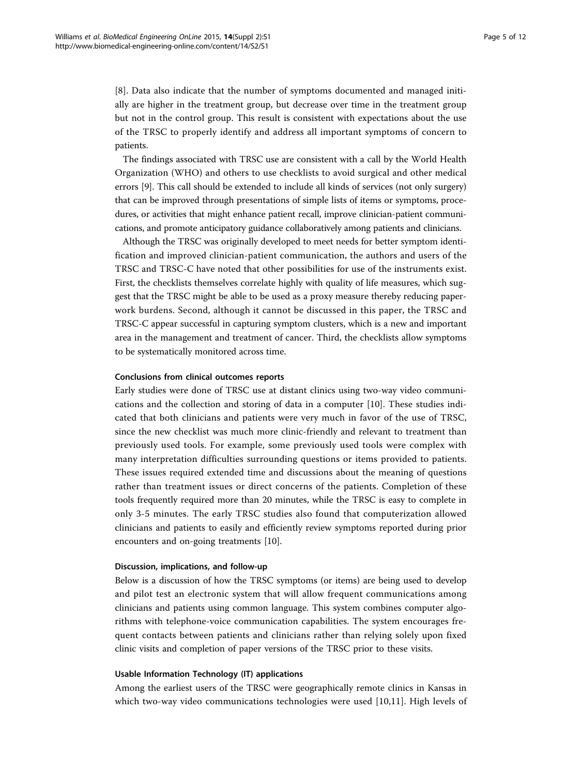[[8\]](#page-11-0). Data also indicate that the number of symptoms documented and managed initially are higher in the treatment group, but decrease over time in the treatment group but not in the control group. This result is consistent with expectations about the use of the TRSC to properly identify and address all important symptoms of concern to patients.

The findings associated with TRSC use are consistent with a call by the World Health Organization (WHO) and others to use checklists to avoid surgical and other medical errors [[9\]](#page-11-0). This call should be extended to include all kinds of services (not only surgery) that can be improved through presentations of simple lists of items or symptoms, procedures, or activities that might enhance patient recall, improve clinician-patient communications, and promote anticipatory guidance collaboratively among patients and clinicians.

Although the TRSC was originally developed to meet needs for better symptom identification and improved clinician-patient communication, the authors and users of the TRSC and TRSC-C have noted that other possibilities for use of the instruments exist. First, the checklists themselves correlate highly with quality of life measures, which suggest that the TRSC might be able to be used as a proxy measure thereby reducing paperwork burdens. Second, although it cannot be discussed in this paper, the TRSC and TRSC-C appear successful in capturing symptom clusters, which is a new and important area in the management and treatment of cancer. Third, the checklists allow symptoms to be systematically monitored across time.

#### Conclusions from clinical outcomes reports

Early studies were done of TRSC use at distant clinics using two-way video communications and the collection and storing of data in a computer [[10\]](#page-11-0). These studies indicated that both clinicians and patients were very much in favor of the use of TRSC, since the new checklist was much more clinic-friendly and relevant to treatment than previously used tools. For example, some previously used tools were complex with many interpretation difficulties surrounding questions or items provided to patients. These issues required extended time and discussions about the meaning of questions rather than treatment issues or direct concerns of the patients. Completion of these tools frequently required more than 20 minutes, while the TRSC is easy to complete in only 3-5 minutes. The early TRSC studies also found that computerization allowed clinicians and patients to easily and efficiently review symptoms reported during prior encounters and on-going treatments [[10](#page-11-0)].

## Discussion, implications, and follow-up

Below is a discussion of how the TRSC symptoms (or items) are being used to develop and pilot test an electronic system that will allow frequent communications among clinicians and patients using common language. This system combines computer algorithms with telephone-voice communication capabilities. The system encourages frequent contacts between patients and clinicians rather than relying solely upon fixed clinic visits and completion of paper versions of the TRSC prior to these visits.

#### Usable Information Technology (IT) applications

Among the earliest users of the TRSC were geographically remote clinics in Kansas in which two-way video communications technologies were used [[10,11](#page-11-0)]. High levels of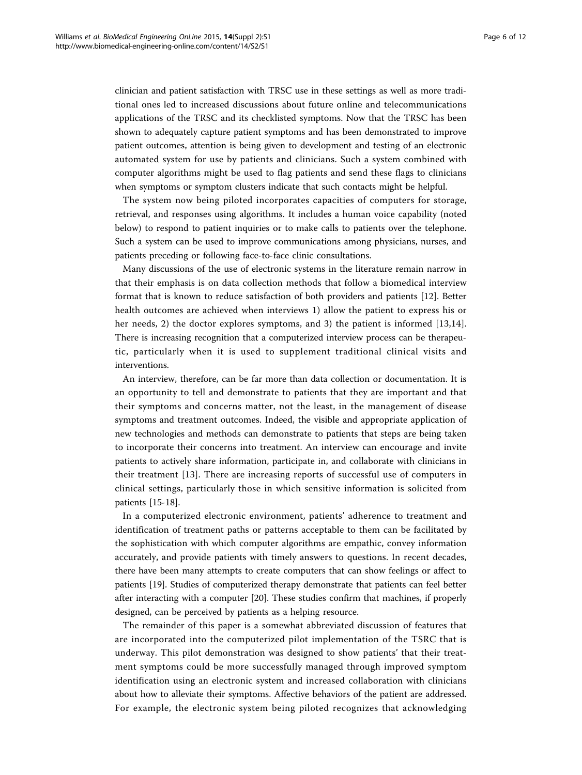clinician and patient satisfaction with TRSC use in these settings as well as more traditional ones led to increased discussions about future online and telecommunications applications of the TRSC and its checklisted symptoms. Now that the TRSC has been shown to adequately capture patient symptoms and has been demonstrated to improve patient outcomes, attention is being given to development and testing of an electronic automated system for use by patients and clinicians. Such a system combined with computer algorithms might be used to flag patients and send these flags to clinicians when symptoms or symptom clusters indicate that such contacts might be helpful.

The system now being piloted incorporates capacities of computers for storage, retrieval, and responses using algorithms. It includes a human voice capability (noted below) to respond to patient inquiries or to make calls to patients over the telephone. Such a system can be used to improve communications among physicians, nurses, and patients preceding or following face-to-face clinic consultations.

Many discussions of the use of electronic systems in the literature remain narrow in that their emphasis is on data collection methods that follow a biomedical interview format that is known to reduce satisfaction of both providers and patients [\[12](#page-11-0)]. Better health outcomes are achieved when interviews 1) allow the patient to express his or her needs, 2) the doctor explores symptoms, and 3) the patient is informed [\[13,14](#page-11-0)]. There is increasing recognition that a computerized interview process can be therapeutic, particularly when it is used to supplement traditional clinical visits and interventions.

An interview, therefore, can be far more than data collection or documentation. It is an opportunity to tell and demonstrate to patients that they are important and that their symptoms and concerns matter, not the least, in the management of disease symptoms and treatment outcomes. Indeed, the visible and appropriate application of new technologies and methods can demonstrate to patients that steps are being taken to incorporate their concerns into treatment. An interview can encourage and invite patients to actively share information, participate in, and collaborate with clinicians in their treatment [[13\]](#page-11-0). There are increasing reports of successful use of computers in clinical settings, particularly those in which sensitive information is solicited from patients [[15-18](#page-11-0)].

In a computerized electronic environment, patients' adherence to treatment and identification of treatment paths or patterns acceptable to them can be facilitated by the sophistication with which computer algorithms are empathic, convey information accurately, and provide patients with timely answers to questions. In recent decades, there have been many attempts to create computers that can show feelings or affect to patients [[19\]](#page-11-0). Studies of computerized therapy demonstrate that patients can feel better after interacting with a computer [\[20\]](#page-11-0). These studies confirm that machines, if properly designed, can be perceived by patients as a helping resource.

The remainder of this paper is a somewhat abbreviated discussion of features that are incorporated into the computerized pilot implementation of the TSRC that is underway. This pilot demonstration was designed to show patients' that their treatment symptoms could be more successfully managed through improved symptom identification using an electronic system and increased collaboration with clinicians about how to alleviate their symptoms. Affective behaviors of the patient are addressed. For example, the electronic system being piloted recognizes that acknowledging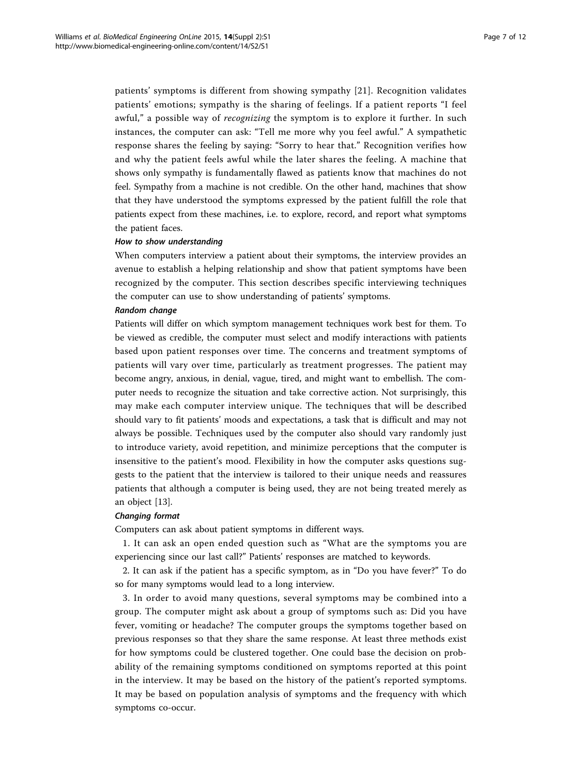patients' symptoms is different from showing sympathy [[21](#page-11-0)]. Recognition validates patients' emotions; sympathy is the sharing of feelings. If a patient reports "I feel awful," a possible way of *recognizing* the symptom is to explore it further. In such instances, the computer can ask: "Tell me more why you feel awful." A sympathetic response shares the feeling by saying: "Sorry to hear that." Recognition verifies how and why the patient feels awful while the later shares the feeling. A machine that shows only sympathy is fundamentally flawed as patients know that machines do not feel. Sympathy from a machine is not credible. On the other hand, machines that show that they have understood the symptoms expressed by the patient fulfill the role that patients expect from these machines, i.e. to explore, record, and report what symptoms the patient faces.

## How to show understanding

When computers interview a patient about their symptoms, the interview provides an avenue to establish a helping relationship and show that patient symptoms have been recognized by the computer. This section describes specific interviewing techniques the computer can use to show understanding of patients' symptoms.

#### Random change

Patients will differ on which symptom management techniques work best for them. To be viewed as credible, the computer must select and modify interactions with patients based upon patient responses over time. The concerns and treatment symptoms of patients will vary over time, particularly as treatment progresses. The patient may become angry, anxious, in denial, vague, tired, and might want to embellish. The computer needs to recognize the situation and take corrective action. Not surprisingly, this may make each computer interview unique. The techniques that will be described should vary to fit patients' moods and expectations, a task that is difficult and may not always be possible. Techniques used by the computer also should vary randomly just to introduce variety, avoid repetition, and minimize perceptions that the computer is insensitive to the patient's mood. Flexibility in how the computer asks questions suggests to the patient that the interview is tailored to their unique needs and reassures patients that although a computer is being used, they are not being treated merely as an object [[13](#page-11-0)].

## Changing format

Computers can ask about patient symptoms in different ways.

1. It can ask an open ended question such as "What are the symptoms you are experiencing since our last call?" Patients' responses are matched to keywords.

2. It can ask if the patient has a specific symptom, as in "Do you have fever?" To do so for many symptoms would lead to a long interview.

3. In order to avoid many questions, several symptoms may be combined into a group. The computer might ask about a group of symptoms such as: Did you have fever, vomiting or headache? The computer groups the symptoms together based on previous responses so that they share the same response. At least three methods exist for how symptoms could be clustered together. One could base the decision on probability of the remaining symptoms conditioned on symptoms reported at this point in the interview. It may be based on the history of the patient's reported symptoms. It may be based on population analysis of symptoms and the frequency with which symptoms co-occur.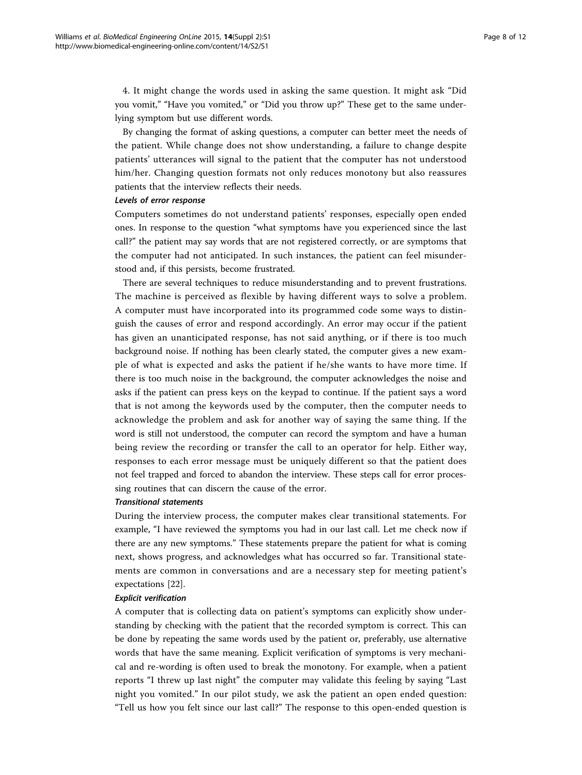4. It might change the words used in asking the same question. It might ask "Did you vomit," "Have you vomited," or "Did you throw up?" These get to the same underlying symptom but use different words.

By changing the format of asking questions, a computer can better meet the needs of the patient. While change does not show understanding, a failure to change despite patients' utterances will signal to the patient that the computer has not understood him/her. Changing question formats not only reduces monotony but also reassures patients that the interview reflects their needs.

#### Levels of error response

Computers sometimes do not understand patients' responses, especially open ended ones. In response to the question "what symptoms have you experienced since the last call?" the patient may say words that are not registered correctly, or are symptoms that the computer had not anticipated. In such instances, the patient can feel misunderstood and, if this persists, become frustrated.

There are several techniques to reduce misunderstanding and to prevent frustrations. The machine is perceived as flexible by having different ways to solve a problem. A computer must have incorporated into its programmed code some ways to distinguish the causes of error and respond accordingly. An error may occur if the patient has given an unanticipated response, has not said anything, or if there is too much background noise. If nothing has been clearly stated, the computer gives a new example of what is expected and asks the patient if he/she wants to have more time. If there is too much noise in the background, the computer acknowledges the noise and asks if the patient can press keys on the keypad to continue. If the patient says a word that is not among the keywords used by the computer, then the computer needs to acknowledge the problem and ask for another way of saying the same thing. If the word is still not understood, the computer can record the symptom and have a human being review the recording or transfer the call to an operator for help. Either way, responses to each error message must be uniquely different so that the patient does not feel trapped and forced to abandon the interview. These steps call for error processing routines that can discern the cause of the error.

#### Transitional statements

During the interview process, the computer makes clear transitional statements. For example, "I have reviewed the symptoms you had in our last call. Let me check now if there are any new symptoms." These statements prepare the patient for what is coming next, shows progress, and acknowledges what has occurred so far. Transitional statements are common in conversations and are a necessary step for meeting patient's expectations [[22](#page-11-0)].

## Explicit verification

A computer that is collecting data on patient's symptoms can explicitly show understanding by checking with the patient that the recorded symptom is correct. This can be done by repeating the same words used by the patient or, preferably, use alternative words that have the same meaning. Explicit verification of symptoms is very mechanical and re-wording is often used to break the monotony. For example, when a patient reports "I threw up last night" the computer may validate this feeling by saying "Last night you vomited." In our pilot study, we ask the patient an open ended question: "Tell us how you felt since our last call?" The response to this open-ended question is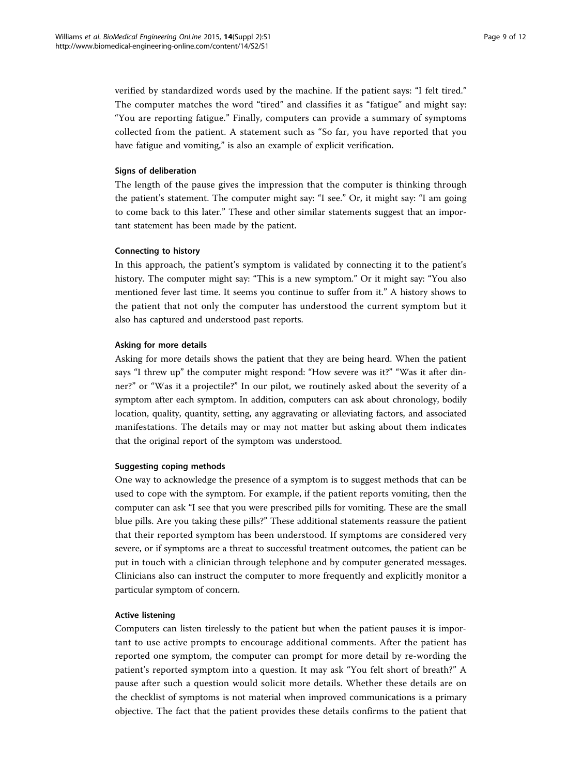verified by standardized words used by the machine. If the patient says: "I felt tired." The computer matches the word "tired" and classifies it as "fatigue" and might say: "You are reporting fatigue." Finally, computers can provide a summary of symptoms collected from the patient. A statement such as "So far, you have reported that you have fatigue and vomiting," is also an example of explicit verification.

## Signs of deliberation

The length of the pause gives the impression that the computer is thinking through the patient's statement. The computer might say: "I see." Or, it might say: "I am going to come back to this later." These and other similar statements suggest that an important statement has been made by the patient.

## Connecting to history

In this approach, the patient's symptom is validated by connecting it to the patient's history. The computer might say: "This is a new symptom." Or it might say: "You also mentioned fever last time. It seems you continue to suffer from it." A history shows to the patient that not only the computer has understood the current symptom but it also has captured and understood past reports.

### Asking for more details

Asking for more details shows the patient that they are being heard. When the patient says "I threw up" the computer might respond: "How severe was it?" "Was it after dinner?" or "Was it a projectile?" In our pilot, we routinely asked about the severity of a symptom after each symptom. In addition, computers can ask about chronology, bodily location, quality, quantity, setting, any aggravating or alleviating factors, and associated manifestations. The details may or may not matter but asking about them indicates that the original report of the symptom was understood.

## Suggesting coping methods

One way to acknowledge the presence of a symptom is to suggest methods that can be used to cope with the symptom. For example, if the patient reports vomiting, then the computer can ask "I see that you were prescribed pills for vomiting. These are the small blue pills. Are you taking these pills?" These additional statements reassure the patient that their reported symptom has been understood. If symptoms are considered very severe, or if symptoms are a threat to successful treatment outcomes, the patient can be put in touch with a clinician through telephone and by computer generated messages. Clinicians also can instruct the computer to more frequently and explicitly monitor a particular symptom of concern.

#### Active listening

Computers can listen tirelessly to the patient but when the patient pauses it is important to use active prompts to encourage additional comments. After the patient has reported one symptom, the computer can prompt for more detail by re-wording the patient's reported symptom into a question. It may ask "You felt short of breath?" A pause after such a question would solicit more details. Whether these details are on the checklist of symptoms is not material when improved communications is a primary objective. The fact that the patient provides these details confirms to the patient that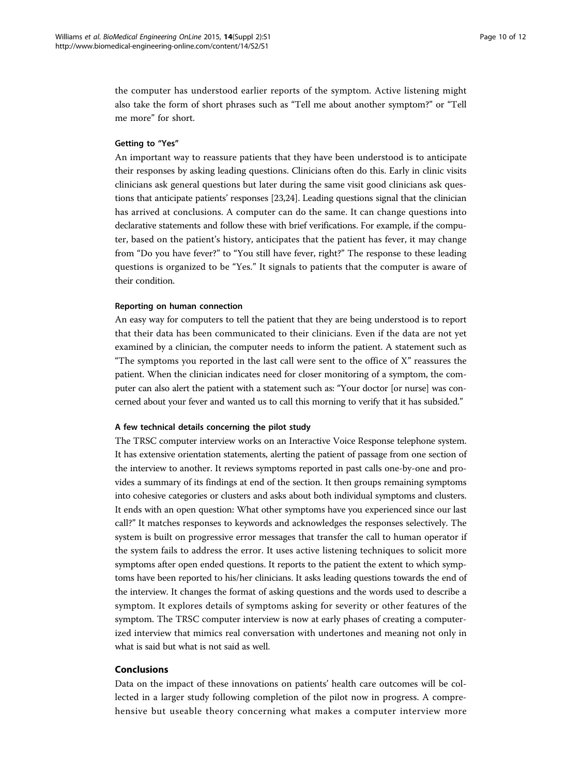the computer has understood earlier reports of the symptom. Active listening might also take the form of short phrases such as "Tell me about another symptom?" or "Tell me more" for short.

## Getting to "Yes"

An important way to reassure patients that they have been understood is to anticipate their responses by asking leading questions. Clinicians often do this. Early in clinic visits clinicians ask general questions but later during the same visit good clinicians ask questions that anticipate patients' responses [[23,24\]](#page-11-0). Leading questions signal that the clinician has arrived at conclusions. A computer can do the same. It can change questions into declarative statements and follow these with brief verifications. For example, if the computer, based on the patient's history, anticipates that the patient has fever, it may change from "Do you have fever?" to "You still have fever, right?" The response to these leading questions is organized to be "Yes." It signals to patients that the computer is aware of their condition.

#### Reporting on human connection

An easy way for computers to tell the patient that they are being understood is to report that their data has been communicated to their clinicians. Even if the data are not yet examined by a clinician, the computer needs to inform the patient. A statement such as "The symptoms you reported in the last call were sent to the office of  $X$ " reassures the patient. When the clinician indicates need for closer monitoring of a symptom, the computer can also alert the patient with a statement such as: "Your doctor [or nurse] was concerned about your fever and wanted us to call this morning to verify that it has subsided."

#### A few technical details concerning the pilot study

The TRSC computer interview works on an Interactive Voice Response telephone system. It has extensive orientation statements, alerting the patient of passage from one section of the interview to another. It reviews symptoms reported in past calls one-by-one and provides a summary of its findings at end of the section. It then groups remaining symptoms into cohesive categories or clusters and asks about both individual symptoms and clusters. It ends with an open question: What other symptoms have you experienced since our last call?" It matches responses to keywords and acknowledges the responses selectively. The system is built on progressive error messages that transfer the call to human operator if the system fails to address the error. It uses active listening techniques to solicit more symptoms after open ended questions. It reports to the patient the extent to which symptoms have been reported to his/her clinicians. It asks leading questions towards the end of the interview. It changes the format of asking questions and the words used to describe a symptom. It explores details of symptoms asking for severity or other features of the symptom. The TRSC computer interview is now at early phases of creating a computerized interview that mimics real conversation with undertones and meaning not only in what is said but what is not said as well.

## Conclusions

Data on the impact of these innovations on patients' health care outcomes will be collected in a larger study following completion of the pilot now in progress. A comprehensive but useable theory concerning what makes a computer interview more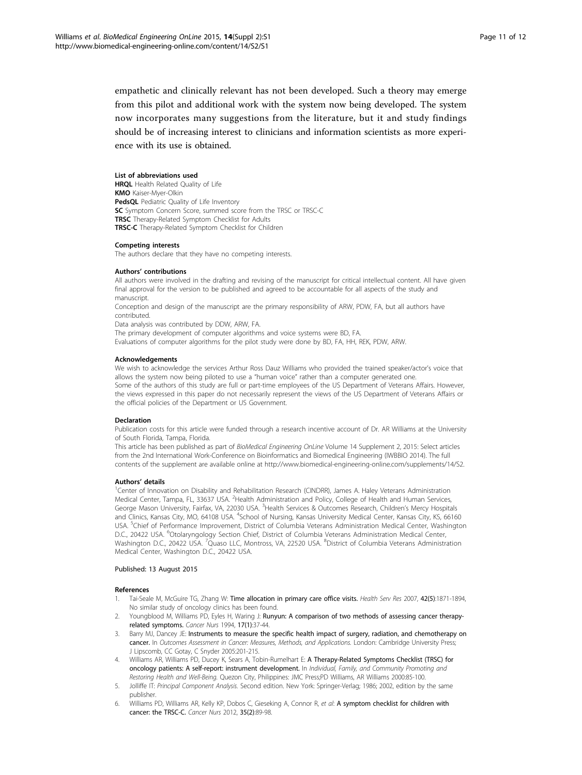<span id="page-10-0"></span>empathetic and clinically relevant has not been developed. Such a theory may emerge from this pilot and additional work with the system now being developed. The system now incorporates many suggestions from the literature, but it and study findings should be of increasing interest to clinicians and information scientists as more experience with its use is obtained.

#### List of abbreviations used

**HROL** Health Related Quality of Life KMO Kaiser-Myer-Olkin PedsQL Pediatric Quality of Life Inventory SC Symptom Concern Score, summed score from the TRSC or TRSC-C TRSC Therapy-Related Symptom Checklist for Adults TRSC-C Therapy-Related Symptom Checklist for Children

#### Competing interests

The authors declare that they have no competing interests.

#### Authors' contributions

All authors were involved in the drafting and revising of the manuscript for critical intellectual content. All have given final approval for the version to be published and agreed to be accountable for all aspects of the study and manuscript.

Conception and design of the manuscript are the primary responsibility of ARW, PDW, FA, but all authors have contributed.

Data analysis was contributed by DDW, ARW, FA.

The primary development of computer algorithms and voice systems were BD, FA.

Evaluations of computer algorithms for the pilot study were done by BD, FA, HH, REK, PDW, ARW.

#### Acknowledgements

We wish to acknowledge the services Arthur Ross Dauz Williams who provided the trained speaker/actor's voice that allows the system now being piloted to use a "human voice" rather than a computer generated one. Some of the authors of this study are full or part-time employees of the US Department of Veterans Affairs. However, the views expressed in this paper do not necessarily represent the views of the US Department of Veterans Affairs or the official policies of the Department or US Government.

#### Declaration

Publication costs for this article were funded through a research incentive account of Dr. AR Williams at the University of South Florida, Tampa, Florida.

This article has been published as part of BioMedical Engineering OnLine Volume 14 Supplement 2, 2015: Select articles from the 2nd International Work-Conference on Bioinformatics and Biomedical Engineering (IWBBIO 2014). The full contents of the supplement are available online at [http://www.biomedical-engineering-online.com/supplements/14/S2](http://iwbbio.ugr.es).

#### Authors' details <sup>1</sup>

<sup>1</sup>Center of Innovation on Disability and Rehabilitation Research (CINDRR), James A. Haley Veterans Administration Medical Center, Tampa, FL, 33637 USA. <sup>2</sup> Health Administration and Policy, College of Health and Human Services George Mason University, Fairfax, VA, 22030 USA. <sup>3</sup>Health Services & Outcomes Research, Children's Mercy Hospitals and Clinics, Kansas City, MO, 64108 USA. <sup>4</sup>School of Nursing, Kansas University Medical Center, Kansas City, KS, 66160 USA. <sup>5</sup>Chief of Performance Improvement, District of Columbia Veterans Administration Medical Center, Washington D.C., 20422 USA. <sup>6</sup>Otolaryngology Section Chief, District of Columbia Veterans Administration Medical Center, Washington D.C., 20422 USA. <sup>7</sup>Quaso LLC, Montross, VA, 22520 USA. <sup>8</sup>District of Columbia Veterans Administration Medical Center, Washington D.C., 20422 USA.

#### Published: 13 August 2015

#### References

- Tai-Seale M, McGuire TG, Zhang W: Time allocation in primary care office visits. Health Serv Res 2007, 42(5):1871-1894, No similar study of oncology clinics has been found.
- 2. Youngblood M, Williams PD, Eyles H, Waring J: Runyun: A comparison of two methods of assessing cancer therapyrelated symptoms. Cancer Nurs 1994, 17(1):37-44.
- 3. Barry MJ, Dancey JE: Instruments to measure the specific health impact of surgery, radiation, and chemotherapy on cancer. In Outcomes Assessment in Cancer: Measures, Methods, and Applications. London: Cambridge University Press; J Lipscomb, CC Gotay, C Snyder 2005:201-215.
- 4. Williams AR, Williams PD, Ducey K, Sears A, Tobin-Rumelhart E: A Therapy-Related Symptoms Checklist (TRSC) for oncology patients: A self-report: instrument development. In Individual, Family, and Community Promoting and Restoring Health and Well-Being. Quezon City, Philippines: JMC Press;PD Williams, AR Williams 2000:85-100.
- 5. Jolliffe IT: Principal Component Analysis. Second edition. New York: Springer-Verlag; 1986; 2002, edition by the same publisher.
- 6. Williams PD, Williams AR, Kelly KP, Dobos C, Gieseking A, Connor R, et al: A symptom checklist for children with cancer: the TRSC-C. Cancer Nurs 2012, 35(2):89-98.